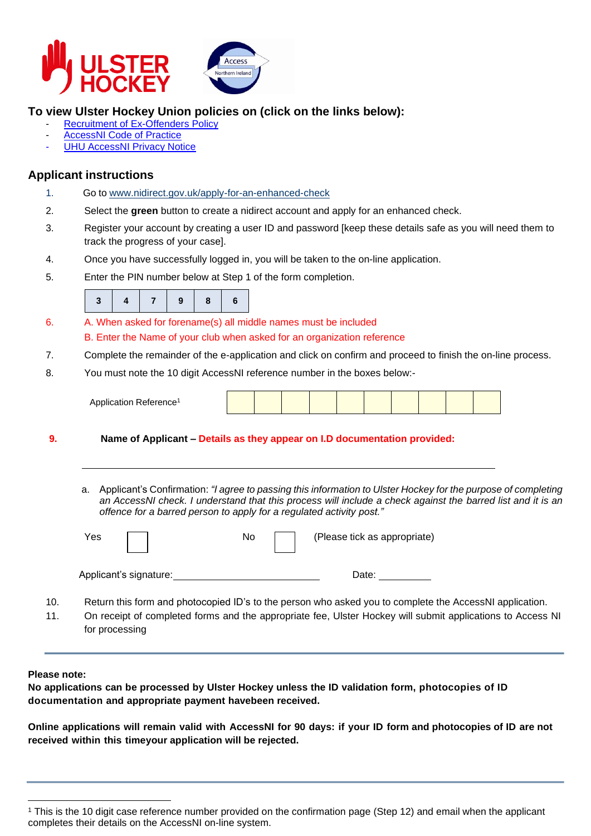



### **To view Ulster Hockey Union policies on (click on the links below):**

- **Recruitment of [Ex-Offenders](https://ulsterhockey.com/wp-content/uploads/2021/10/Policy-on-the-Recruitment-of-Ex-Offenders.pdf) Policy**
- **[AccessNI](https://ulsterhockey.com/wp-content/uploads/2021/10/accessni-code-of-practice.pdf) Code of Practice**
- **UHU [AccessNI](https://ulsterhockey.com/wp-content/uploads/2021/10/Ulster-Hockey-Union-Privacy-Policy.pdf) Privacy Notice**

### **Applicant instructions**

- 1. Go to [www.nidirect.gov.uk/apply-for-an-enhanced-check](http://www.nidirect.gov.uk/apply-for-an-enhanced-check-through-a-registered-body)
- 2. Select the **green** button to create a nidirect account and apply for an enhanced check.
- 3. Register your account by creating a user ID and password [keep these details safe as you will need them to track the progress of your case].
- 4. Once you have successfully logged in, you will be taken to the on-line application.
- 5. Enter the PIN number below at Step 1 of the form completion.

|--|

- 6. A. When asked for forename(s) all middle names must be included B. Enter the Name of your club when asked for an organization reference
- 7. Complete the remainder of the e-application and click on confirm and proceed to finish the on-line process.
- 8. You must note the 10 digit AccessNI reference number in the boxes below:-

| Application Reference <sup>1</sup> |  |  |  |  |  |  |  |  |  |  |  |
|------------------------------------|--|--|--|--|--|--|--|--|--|--|--|
|------------------------------------|--|--|--|--|--|--|--|--|--|--|--|

- **9. Name of Applicant – Details as they appear on I.D documentation provided:**
	- a. Applicant's Confirmation: *"I agree to passing this information to Ulster Hockey for the purpose of completing an AccessNI check. I understand that this process will include a check against the barred list and it is an offence for a barred person to apply for a regulated activity post."*

|     | Yes                    | (Please tick as appropriate)<br>No.                                                                     |
|-----|------------------------|---------------------------------------------------------------------------------------------------------|
|     | Applicant's signature: | Date:                                                                                                   |
| 10. |                        | Return this form and photocopied ID's to the person who asked you to complete the AccessNI application. |

11. On receipt of completed forms and the appropriate fee, Ulster Hockey will submit applications to Access NI for processing

#### **Please note:**

**No applications can be processed by Ulster Hockey unless the ID validation form, photocopies of ID documentation and appropriate payment havebeen received.**

**Online applications will remain valid with AccessNI for 90 days: if your ID form and photocopies of ID are not received within this timeyour application will be rejected.**

<sup>1</sup> This is the 10 digit case reference number provided on the confirmation page (Step 12) and email when the applicant completes their details on the AccessNI on-line system.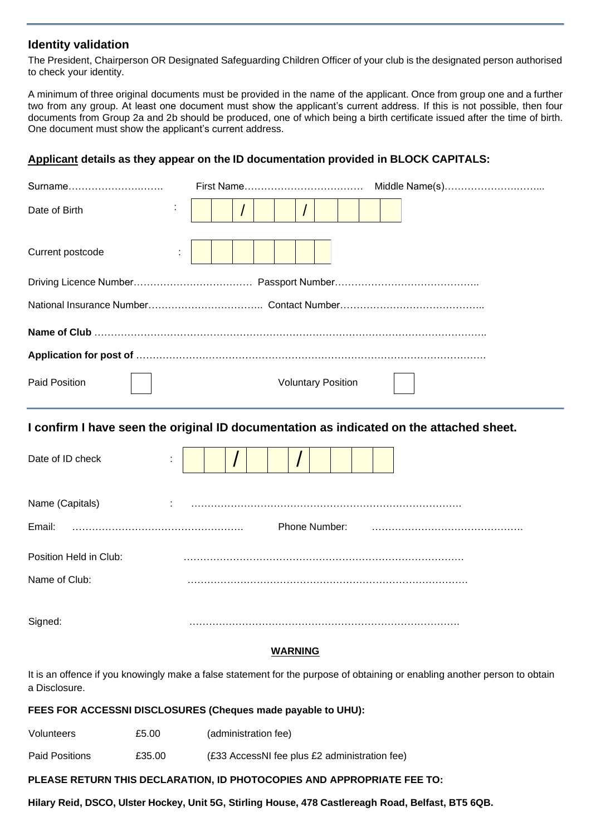#### **Identity validation**

The President, Chairperson OR Designated Safeguarding Children Officer of your club is the designated person authorised to check your identity.

A minimum of three original documents must be provided in the name of the applicant. Once from group one and a further two from any group. At least one document must show the applicant's current address. If this is not possible, then four documents from Group 2a and 2b should be produced, one of which being a birth certificate issued after the time of birth. One document must show the applicant's current address.

#### **Applicant details as they appear on the ID documentation provided in BLOCK CAPITALS:**

| Surname                |                                                                                         | Middle Name(s) |
|------------------------|-----------------------------------------------------------------------------------------|----------------|
| Date of Birth          |                                                                                         |                |
| Current postcode<br>÷  |                                                                                         |                |
|                        |                                                                                         |                |
|                        |                                                                                         |                |
|                        |                                                                                         |                |
|                        |                                                                                         |                |
| <b>Paid Position</b>   | <b>Voluntary Position</b>                                                               |                |
|                        | I confirm I have seen the original ID documentation as indicated on the attached sheet. |                |
| Date of ID check       |                                                                                         |                |
| Name (Capitals)        |                                                                                         |                |
| Email:                 | Phone Number:                                                                           |                |
| Position Held in Club: |                                                                                         |                |
| Name of Club:          |                                                                                         |                |
| Signed:                |                                                                                         |                |
|                        | <b>WARNING</b>                                                                          |                |

It is an offence if you knowingly make a false statement for the purpose of obtaining or enabling another person to obtain a Disclosure.

#### **FEES FOR ACCESSNI DISCLOSURES (Cheques made payable to UHU):**

| Volunteers     | £5.00  | (administration fee)                          |
|----------------|--------|-----------------------------------------------|
| Paid Positions | £35.00 | (£33 AccessNI fee plus £2 administration fee) |

#### **PLEASE RETURN THIS DECLARATION, ID PHOTOCOPIES AND APPROPRIATE FEE TO:**

**Hilary Reid, DSCO, Ulster Hockey, Unit 5G, Stirling House, 478 Castlereagh Road, Belfast, BT5 6QB.**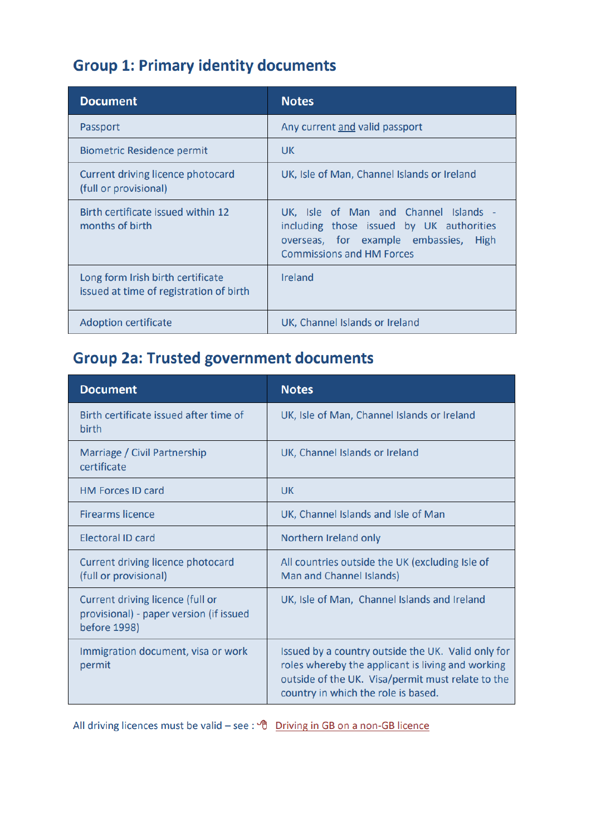## **Group 1: Primary identity documents**

| <b>Document</b>                                                              | <b>Notes</b>                                                                                                                                                   |
|------------------------------------------------------------------------------|----------------------------------------------------------------------------------------------------------------------------------------------------------------|
| Passport                                                                     | Any current and valid passport                                                                                                                                 |
| <b>Biometric Residence permit</b>                                            | UK.                                                                                                                                                            |
| Current driving licence photocard<br>(full or provisional)                   | UK, Isle of Man, Channel Islands or Ireland                                                                                                                    |
| Birth certificate issued within 12<br>months of birth                        | UK, Isle of Man and Channel Islands -<br>including those issued by UK authorities<br>overseas, for example embassies, High<br><b>Commissions and HM Forces</b> |
| Long form Irish birth certificate<br>issued at time of registration of birth | Ireland                                                                                                                                                        |
| <b>Adoption certificate</b>                                                  | UK, Channel Islands or Ireland                                                                                                                                 |

## **Group 2a: Trusted government documents**

| <b>Document</b>                                                                             | <b>Notes</b>                                                                                                                                                                                        |
|---------------------------------------------------------------------------------------------|-----------------------------------------------------------------------------------------------------------------------------------------------------------------------------------------------------|
| Birth certificate issued after time of<br>birth                                             | UK, Isle of Man, Channel Islands or Ireland                                                                                                                                                         |
| Marriage / Civil Partnership<br>certificate                                                 | UK, Channel Islands or Ireland                                                                                                                                                                      |
| <b>HM Forces ID card</b>                                                                    | UK.                                                                                                                                                                                                 |
| <b>Firearms licence</b>                                                                     | UK, Channel Islands and Isle of Man                                                                                                                                                                 |
| <b>Electoral ID card</b>                                                                    | Northern Ireland only                                                                                                                                                                               |
| Current driving licence photocard<br>(full or provisional)                                  | All countries outside the UK (excluding Isle of<br>Man and Channel Islands)                                                                                                                         |
| Current driving licence (full or<br>provisional) - paper version (if issued<br>before 1998) | UK, Isle of Man, Channel Islands and Ireland                                                                                                                                                        |
| Immigration document, visa or work<br>permit                                                | Issued by a country outside the UK. Valid only for<br>roles whereby the applicant is living and working<br>outside of the UK. Visa/permit must relate to the<br>country in which the role is based. |

All driving licences must be valid - see :  $\sqrt{\theta}$  Driving in GB on a non-GB licence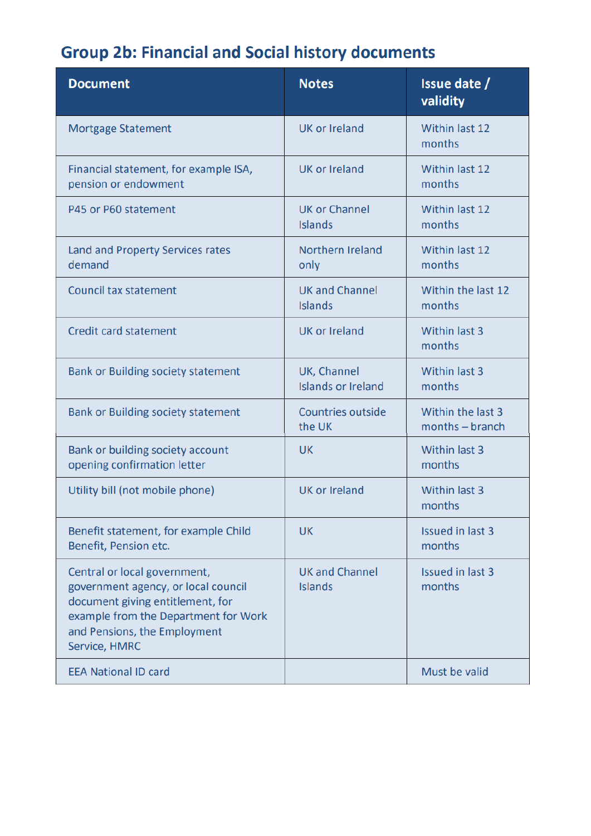# **Group 2b: Financial and Social history documents**

| <b>Document</b>                                                                                                                                                                                  | <b>Notes</b>                             | Issue date /<br>validity             |
|--------------------------------------------------------------------------------------------------------------------------------------------------------------------------------------------------|------------------------------------------|--------------------------------------|
| <b>Mortgage Statement</b>                                                                                                                                                                        | UK or Ireland                            | Within last 12<br>months             |
| Financial statement, for example ISA,<br>pension or endowment                                                                                                                                    | <b>UK or Ireland</b>                     | Within last 12<br>months             |
| P45 or P60 statement                                                                                                                                                                             | <b>UK or Channel</b><br><b>Islands</b>   | Within last 12<br>months             |
| Land and Property Services rates<br>demand                                                                                                                                                       | Northern Ireland<br>only                 | Within last 12<br>months             |
| <b>Council tax statement</b>                                                                                                                                                                     | <b>UK and Channel</b><br><b>Islands</b>  | Within the last 12<br>months         |
| <b>Credit card statement</b>                                                                                                                                                                     | <b>UK or Ireland</b>                     | Within last 3<br>months              |
| <b>Bank or Building society statement</b>                                                                                                                                                        | UK, Channel<br><b>Islands or Ireland</b> | <b>Within last 3</b><br>months       |
| <b>Bank or Building society statement</b>                                                                                                                                                        | <b>Countries outside</b><br>the UK       | Within the last 3<br>months - branch |
| Bank or building society account<br>opening confirmation letter                                                                                                                                  | <b>UK</b>                                | Within last 3<br>months              |
| Utility bill (not mobile phone)                                                                                                                                                                  | <b>UK or Ireland</b>                     | Within last 3<br>months              |
| Benefit statement, for example Child<br>Benefit, Pension etc.                                                                                                                                    | <b>UK</b>                                | <b>Issued in last 3</b><br>months    |
| Central or local government,<br>government agency, or local council<br>document giving entitlement, for<br>example from the Department for Work<br>and Pensions, the Employment<br>Service, HMRC | <b>UK and Channel</b><br><b>Islands</b>  | Issued in last 3<br>months           |
| <b>EEA National ID card</b>                                                                                                                                                                      |                                          | Must be valid                        |